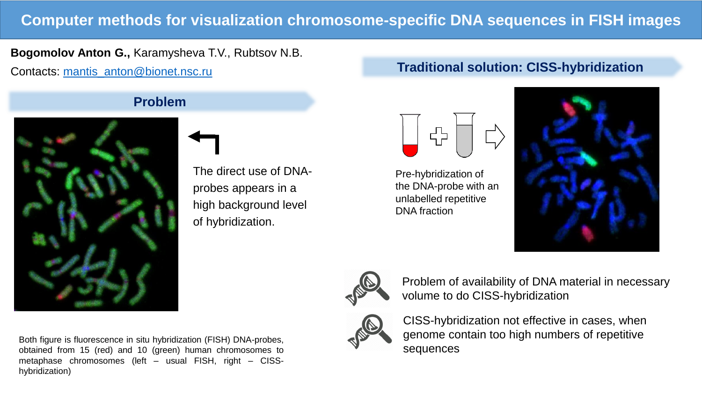# **Computer methods for visualization chromosome-specific DNA sequences in FISH images**

### **Bogomolov Anton G.,** Karamysheva T.V., Rubtsov N.B.

Contacts: [mantis\\_anton@bionet.nsc.ru](mailto:mantis_anton@bionet.nsc.ru)

## **Problem**



The direct use of DNAprobes appears in a high background level of hybridization.

## **Traditional solution: CISS-hybridization**



Pre-hybridization of the DNA-probe with an unlabelled repetitive DNA fraction





Problem of availability of DNA material in necessary volume to do CISS-hybridization



CISS-hybridization not effective in cases, when genome contain too high numbers of repetitive sequences

Both figure is fluorescence in situ hybridization (FISH) DNA-probes, obtained from 15 (red) and 10 (green) human chromosomes to metaphase chromosomes (left – usual FISH, right – CISShybridization)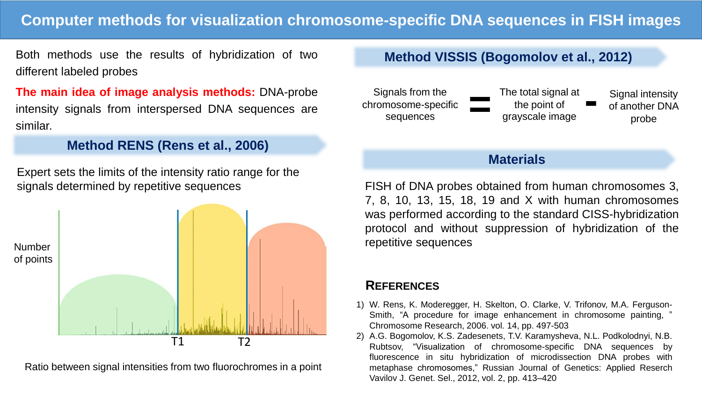# **Computer methods for visualization chromosome-specific DNA sequences in FISH images**

Both methods use the results of hybridization of two different labeled probes

**The main idea of image analysis methods:** DNA-probe intensity signals from interspersed DNA sequences are similar.

#### **Method RENS (Rens et al., 2006)**

Expert sets the limits of the intensity ratio range for the signals determined by repetitive sequences



Ratio between signal intensities from two fluorochromes in a point

# **Method VISSIS (Bogomolov et al., 2012)**



#### **Materials**

FISH of DNA probes obtained from human chromosomes 3, 7, 8, 10, 13, 15, 18, 19 and X with human chromosomes was performed according to the standard CISS-hybridization protocol and without suppression of hybridization of the repetitive sequences

## **REFERENCES**

- 1) W. Rens, K. Moderegger, H. Skelton, O. Clarke, V. Trifonov, M.A. Ferguson-Smith, "A procedure for image enhancement in chromosome painting, " Chromosome Research, 2006. vol. 14, pp. 497-503
- 2) A.G. Bogomolov, K.S. Zadesenets, T.V. Karamysheva, N.L. Podkolodnyi, N.B. Rubtsov, "Visualization of chromosome-specific DNA sequences by fluorescence in situ hybridization of microdissection DNA probes with metaphase chromosomes," Russian Journal of Genetics: Applied Reserch Vavilov J. Genet. Sel., 2012, vol. 2, pp. 413–420